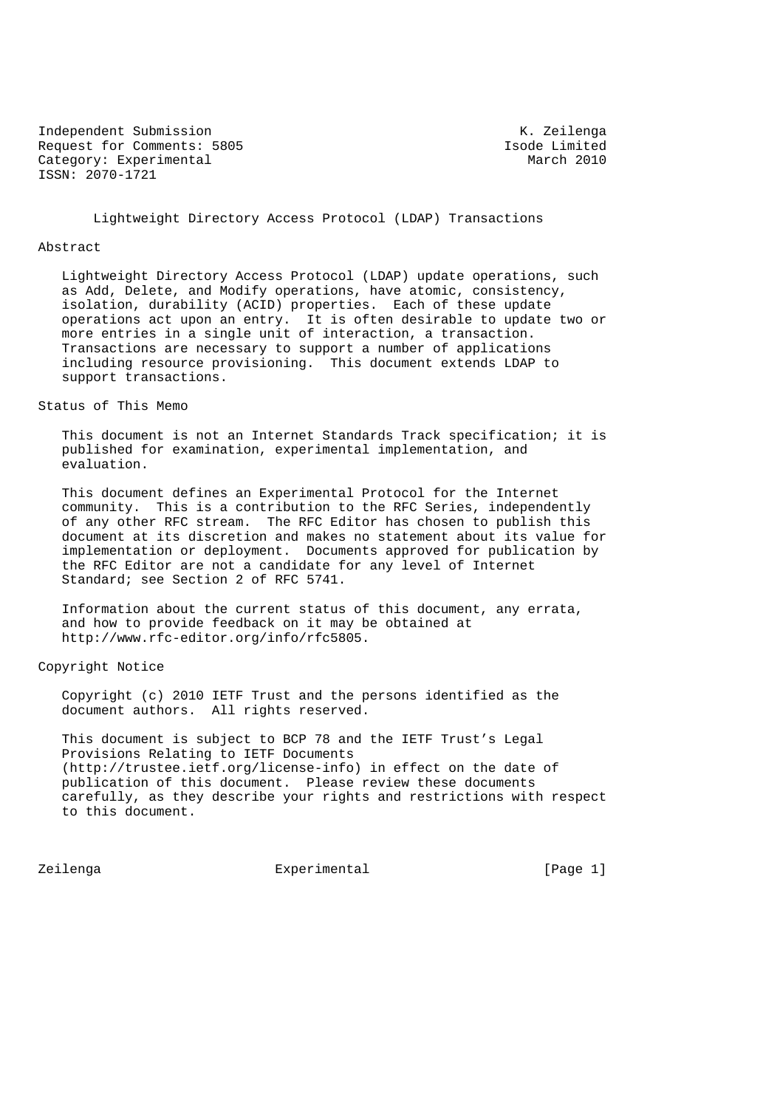Independent Submission and K. Zeilenga<br>Request for Comments: 5805 (and Isola Limited Request for Comments: 5805 Isode Limited<br>
Category: Experimental March 2010 Category: Experimental ISSN: 2070-1721

Lightweight Directory Access Protocol (LDAP) Transactions

### Abstract

 Lightweight Directory Access Protocol (LDAP) update operations, such as Add, Delete, and Modify operations, have atomic, consistency, isolation, durability (ACID) properties. Each of these update operations act upon an entry. It is often desirable to update two or more entries in a single unit of interaction, a transaction. Transactions are necessary to support a number of applications including resource provisioning. This document extends LDAP to support transactions.

## Status of This Memo

 This document is not an Internet Standards Track specification; it is published for examination, experimental implementation, and evaluation.

 This document defines an Experimental Protocol for the Internet community. This is a contribution to the RFC Series, independently of any other RFC stream. The RFC Editor has chosen to publish this document at its discretion and makes no statement about its value for implementation or deployment. Documents approved for publication by the RFC Editor are not a candidate for any level of Internet Standard; see Section 2 of RFC 5741.

 Information about the current status of this document, any errata, and how to provide feedback on it may be obtained at http://www.rfc-editor.org/info/rfc5805.

Copyright Notice

 Copyright (c) 2010 IETF Trust and the persons identified as the document authors. All rights reserved.

 This document is subject to BCP 78 and the IETF Trust's Legal Provisions Relating to IETF Documents (http://trustee.ietf.org/license-info) in effect on the date of publication of this document. Please review these documents carefully, as they describe your rights and restrictions with respect to this document.

Zeilenga Experimental [Page 1]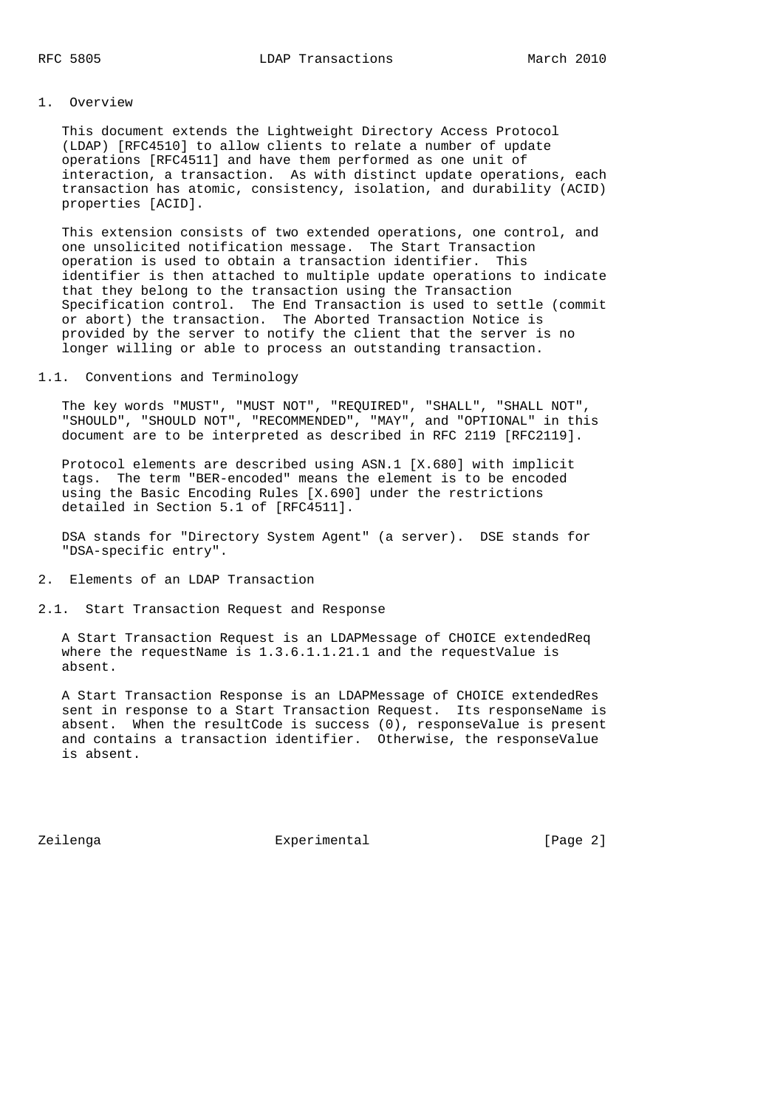# 1. Overview

 This document extends the Lightweight Directory Access Protocol (LDAP) [RFC4510] to allow clients to relate a number of update operations [RFC4511] and have them performed as one unit of interaction, a transaction. As with distinct update operations, each transaction has atomic, consistency, isolation, and durability (ACID) properties [ACID].

 This extension consists of two extended operations, one control, and one unsolicited notification message. The Start Transaction operation is used to obtain a transaction identifier. This identifier is then attached to multiple update operations to indicate that they belong to the transaction using the Transaction Specification control. The End Transaction is used to settle (commit or abort) the transaction. The Aborted Transaction Notice is provided by the server to notify the client that the server is no longer willing or able to process an outstanding transaction.

## 1.1. Conventions and Terminology

 The key words "MUST", "MUST NOT", "REQUIRED", "SHALL", "SHALL NOT", "SHOULD", "SHOULD NOT", "RECOMMENDED", "MAY", and "OPTIONAL" in this document are to be interpreted as described in RFC 2119 [RFC2119].

 Protocol elements are described using ASN.1 [X.680] with implicit tags. The term "BER-encoded" means the element is to be encoded using the Basic Encoding Rules [X.690] under the restrictions detailed in Section 5.1 of [RFC4511].

 DSA stands for "Directory System Agent" (a server). DSE stands for "DSA-specific entry".

- 2. Elements of an LDAP Transaction
- 2.1. Start Transaction Request and Response

 A Start Transaction Request is an LDAPMessage of CHOICE extendedReq where the requestName is 1.3.6.1.1.21.1 and the requestValue is absent.

 A Start Transaction Response is an LDAPMessage of CHOICE extendedRes sent in response to a Start Transaction Request. Its responseName is absent. When the resultCode is success (0), responseValue is present and contains a transaction identifier. Otherwise, the responseValue is absent.

Zeilenga Experimental [Page 2]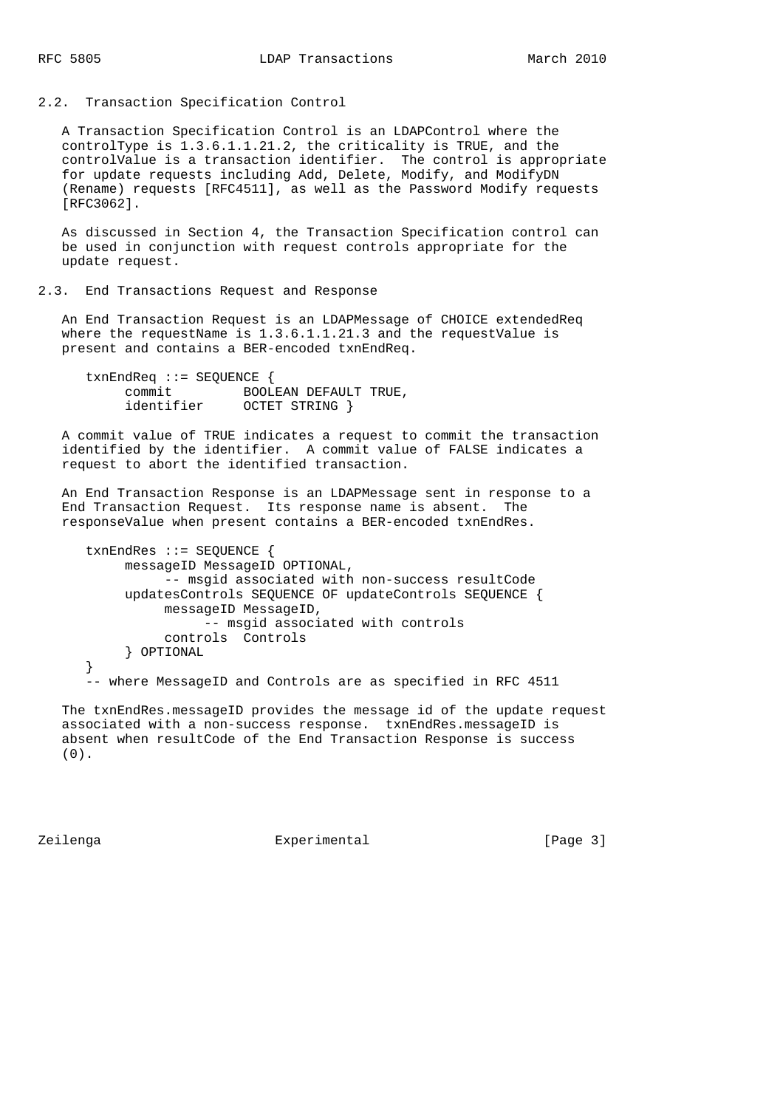2.2. Transaction Specification Control

 A Transaction Specification Control is an LDAPControl where the controlType is 1.3.6.1.1.21.2, the criticality is TRUE, and the controlValue is a transaction identifier. The control is appropriate for update requests including Add, Delete, Modify, and ModifyDN (Rename) requests [RFC4511], as well as the Password Modify requests [RFC3062].

 As discussed in Section 4, the Transaction Specification control can be used in conjunction with request controls appropriate for the update request.

#### 2.3. End Transactions Request and Response

 An End Transaction Request is an LDAPMessage of CHOICE extendedReq where the requestName is  $1.3.6.1.1.21.3$  and the requestValue is present and contains a BER-encoded txnEndReq.

```
 txnEndReq ::= SEQUENCE {
 commit BOOLEAN DEFAULT TRUE,
 identifier OCTET STRING }
```
 A commit value of TRUE indicates a request to commit the transaction identified by the identifier. A commit value of FALSE indicates a request to abort the identified transaction.

 An End Transaction Response is an LDAPMessage sent in response to a End Transaction Request. Its response name is absent. The responseValue when present contains a BER-encoded txnEndRes.

```
 txnEndRes ::= SEQUENCE {
     messageID MessageID OPTIONAL,
          -- msgid associated with non-success resultCode
      updatesControls SEQUENCE OF updateControls SEQUENCE {
           messageID MessageID,
               -- msgid associated with controls
           controls Controls
      } OPTIONAL
 }
 -- where MessageID and Controls are as specified in RFC 4511
```
 The txnEndRes.messageID provides the message id of the update request associated with a non-success response. txnEndRes.messageID is absent when resultCode of the End Transaction Response is success (0).

Zeilenga Experimental [Page 3]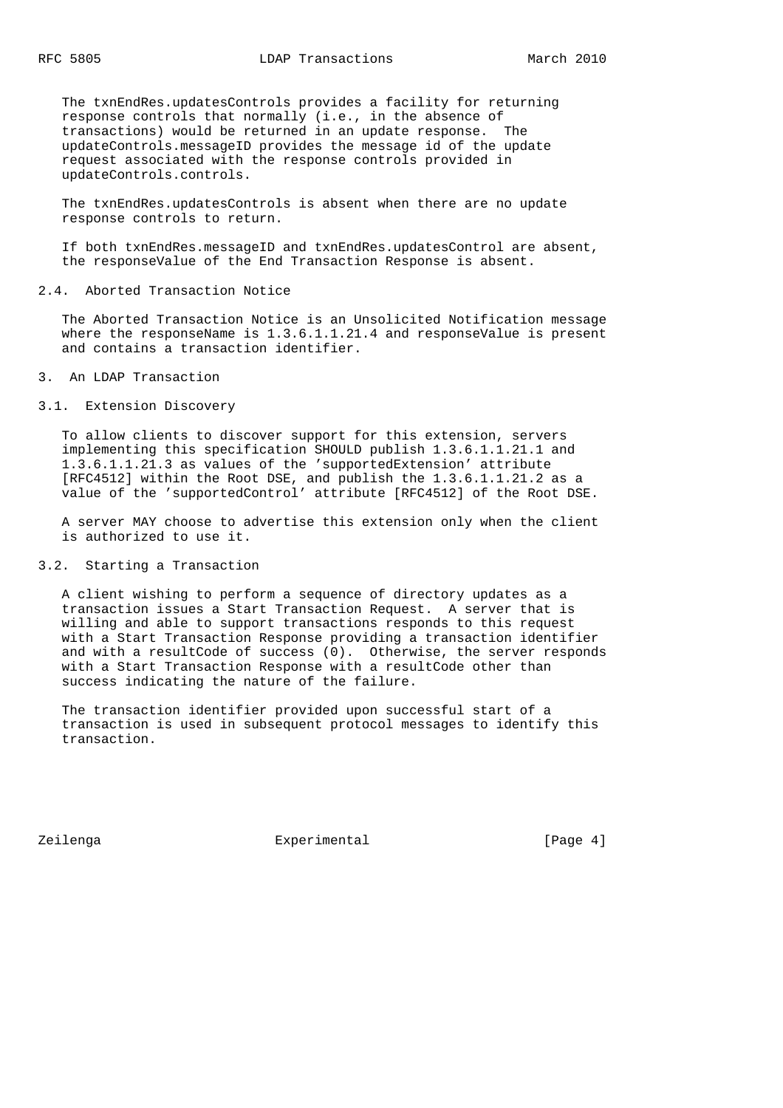The txnEndRes.updatesControls provides a facility for returning response controls that normally (i.e., in the absence of transactions) would be returned in an update response. The updateControls.messageID provides the message id of the update request associated with the response controls provided in updateControls.controls.

 The txnEndRes.updatesControls is absent when there are no update response controls to return.

 If both txnEndRes.messageID and txnEndRes.updatesControl are absent, the responseValue of the End Transaction Response is absent.

## 2.4. Aborted Transaction Notice

 The Aborted Transaction Notice is an Unsolicited Notification message where the responseName is 1.3.6.1.1.21.4 and responseValue is present and contains a transaction identifier.

3. An LDAP Transaction

### 3.1. Extension Discovery

 To allow clients to discover support for this extension, servers implementing this specification SHOULD publish 1.3.6.1.1.21.1 and 1.3.6.1.1.21.3 as values of the 'supportedExtension' attribute [RFC4512] within the Root DSE, and publish the 1.3.6.1.1.21.2 as a value of the 'supportedControl' attribute [RFC4512] of the Root DSE.

 A server MAY choose to advertise this extension only when the client is authorized to use it.

### 3.2. Starting a Transaction

 A client wishing to perform a sequence of directory updates as a transaction issues a Start Transaction Request. A server that is willing and able to support transactions responds to this request with a Start Transaction Response providing a transaction identifier and with a resultCode of success (0). Otherwise, the server responds with a Start Transaction Response with a resultCode other than success indicating the nature of the failure.

 The transaction identifier provided upon successful start of a transaction is used in subsequent protocol messages to identify this transaction.

Zeilenga Experimental [Page 4]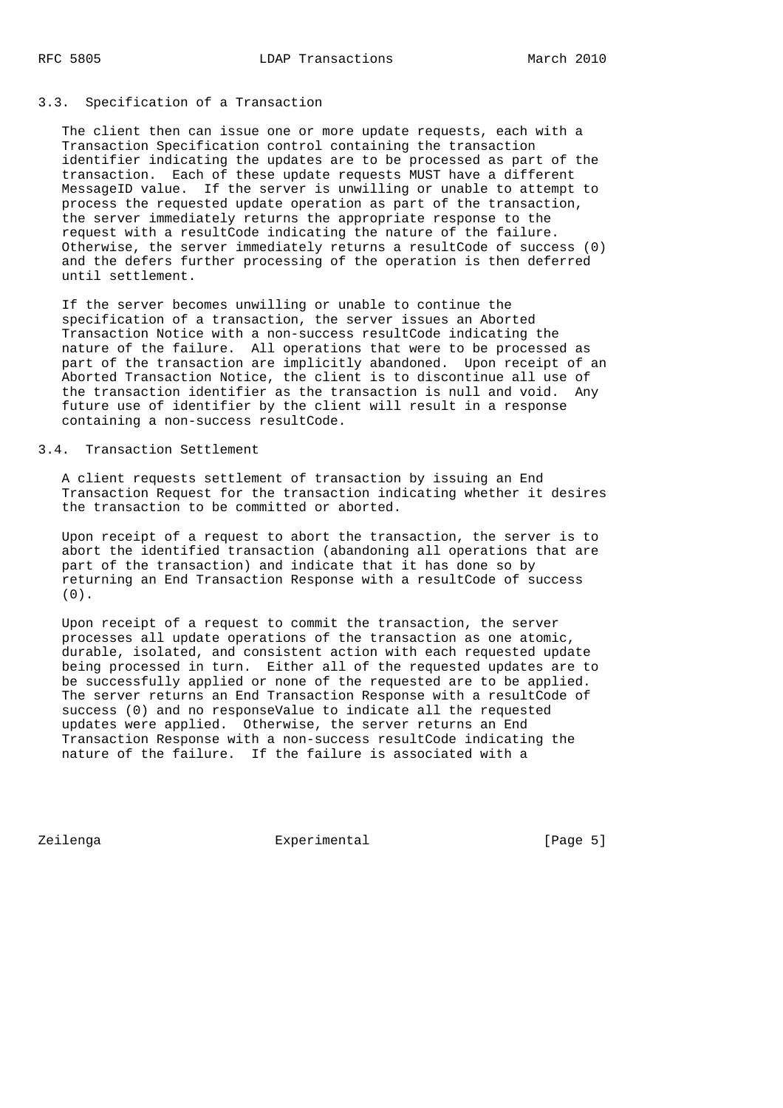## 3.3. Specification of a Transaction

 The client then can issue one or more update requests, each with a Transaction Specification control containing the transaction identifier indicating the updates are to be processed as part of the transaction. Each of these update requests MUST have a different MessageID value. If the server is unwilling or unable to attempt to process the requested update operation as part of the transaction, the server immediately returns the appropriate response to the request with a resultCode indicating the nature of the failure. Otherwise, the server immediately returns a resultCode of success (0) and the defers further processing of the operation is then deferred until settlement.

 If the server becomes unwilling or unable to continue the specification of a transaction, the server issues an Aborted Transaction Notice with a non-success resultCode indicating the nature of the failure. All operations that were to be processed as part of the transaction are implicitly abandoned. Upon receipt of an Aborted Transaction Notice, the client is to discontinue all use of the transaction identifier as the transaction is null and void. Any future use of identifier by the client will result in a response containing a non-success resultCode.

## 3.4. Transaction Settlement

 A client requests settlement of transaction by issuing an End Transaction Request for the transaction indicating whether it desires the transaction to be committed or aborted.

 Upon receipt of a request to abort the transaction, the server is to abort the identified transaction (abandoning all operations that are part of the transaction) and indicate that it has done so by returning an End Transaction Response with a resultCode of success (0).

 Upon receipt of a request to commit the transaction, the server processes all update operations of the transaction as one atomic, durable, isolated, and consistent action with each requested update being processed in turn. Either all of the requested updates are to be successfully applied or none of the requested are to be applied. The server returns an End Transaction Response with a resultCode of success (0) and no responseValue to indicate all the requested updates were applied. Otherwise, the server returns an End Transaction Response with a non-success resultCode indicating the nature of the failure. If the failure is associated with a

Zeilenga Experimental [Page 5]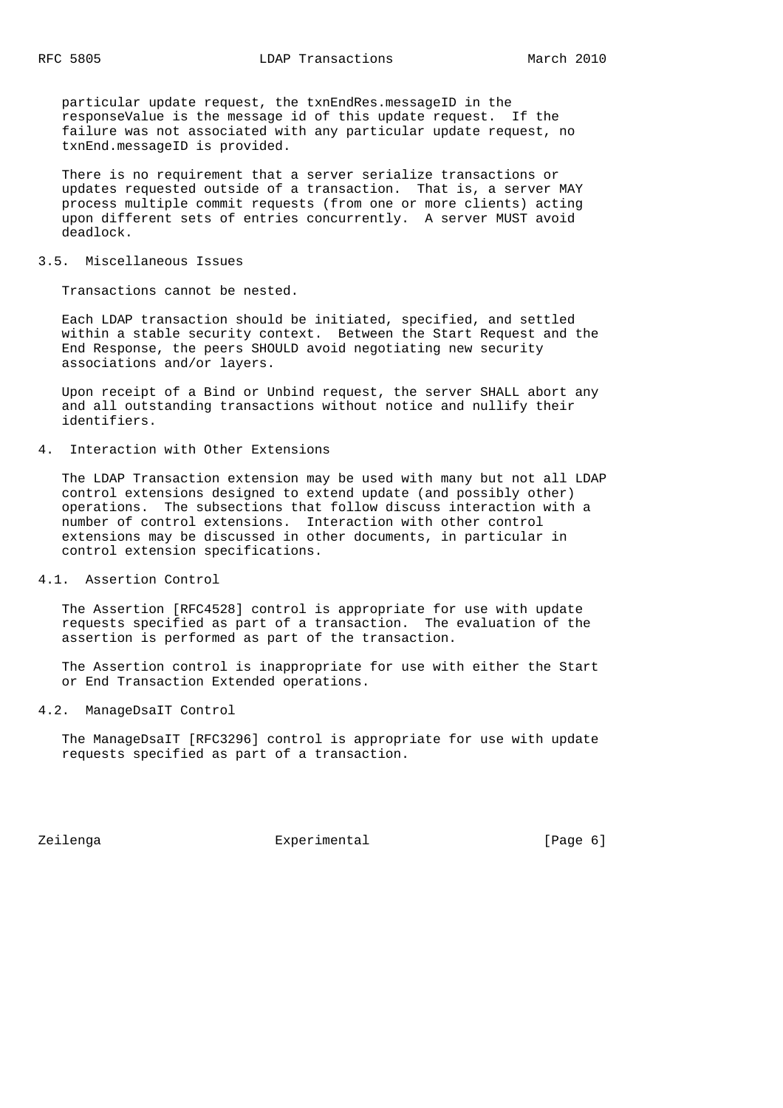particular update request, the txnEndRes.messageID in the responseValue is the message id of this update request. If the failure was not associated with any particular update request, no txnEnd.messageID is provided.

 There is no requirement that a server serialize transactions or updates requested outside of a transaction. That is, a server MAY process multiple commit requests (from one or more clients) acting upon different sets of entries concurrently. A server MUST avoid deadlock.

#### 3.5. Miscellaneous Issues

Transactions cannot be nested.

 Each LDAP transaction should be initiated, specified, and settled within a stable security context. Between the Start Request and the End Response, the peers SHOULD avoid negotiating new security associations and/or layers.

 Upon receipt of a Bind or Unbind request, the server SHALL abort any and all outstanding transactions without notice and nullify their identifiers.

## 4. Interaction with Other Extensions

 The LDAP Transaction extension may be used with many but not all LDAP control extensions designed to extend update (and possibly other) operations. The subsections that follow discuss interaction with a number of control extensions. Interaction with other control extensions may be discussed in other documents, in particular in control extension specifications.

4.1. Assertion Control

 The Assertion [RFC4528] control is appropriate for use with update requests specified as part of a transaction. The evaluation of the assertion is performed as part of the transaction.

 The Assertion control is inappropriate for use with either the Start or End Transaction Extended operations.

4.2. ManageDsaIT Control

 The ManageDsaIT [RFC3296] control is appropriate for use with update requests specified as part of a transaction.

Zeilenga Experimental [Page 6]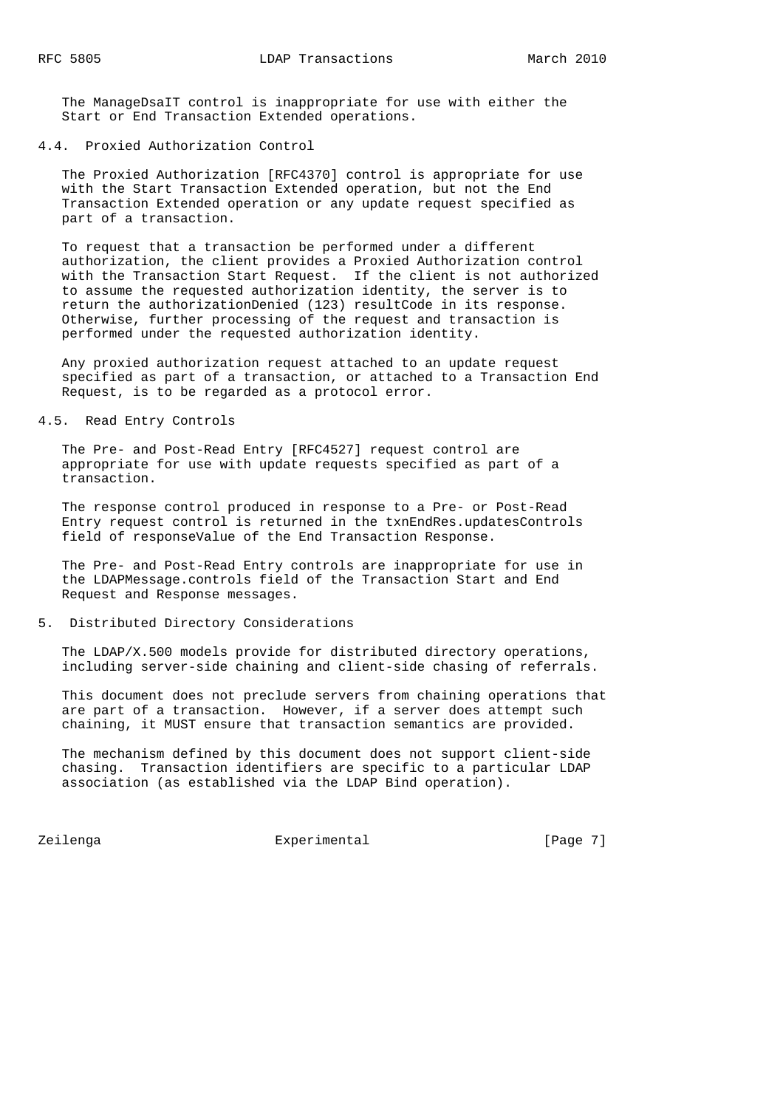The ManageDsaIT control is inappropriate for use with either the Start or End Transaction Extended operations.

### 4.4. Proxied Authorization Control

 The Proxied Authorization [RFC4370] control is appropriate for use with the Start Transaction Extended operation, but not the End Transaction Extended operation or any update request specified as part of a transaction.

 To request that a transaction be performed under a different authorization, the client provides a Proxied Authorization control with the Transaction Start Request. If the client is not authorized to assume the requested authorization identity, the server is to return the authorizationDenied (123) resultCode in its response. Otherwise, further processing of the request and transaction is performed under the requested authorization identity.

 Any proxied authorization request attached to an update request specified as part of a transaction, or attached to a Transaction End Request, is to be regarded as a protocol error.

## 4.5. Read Entry Controls

 The Pre- and Post-Read Entry [RFC4527] request control are appropriate for use with update requests specified as part of a transaction.

 The response control produced in response to a Pre- or Post-Read Entry request control is returned in the txnEndRes.updatesControls field of responseValue of the End Transaction Response.

 The Pre- and Post-Read Entry controls are inappropriate for use in the LDAPMessage.controls field of the Transaction Start and End Request and Response messages.

### 5. Distributed Directory Considerations

 The LDAP/X.500 models provide for distributed directory operations, including server-side chaining and client-side chasing of referrals.

 This document does not preclude servers from chaining operations that are part of a transaction. However, if a server does attempt such chaining, it MUST ensure that transaction semantics are provided.

 The mechanism defined by this document does not support client-side chasing. Transaction identifiers are specific to a particular LDAP association (as established via the LDAP Bind operation).

Zeilenga Experimental [Page 7]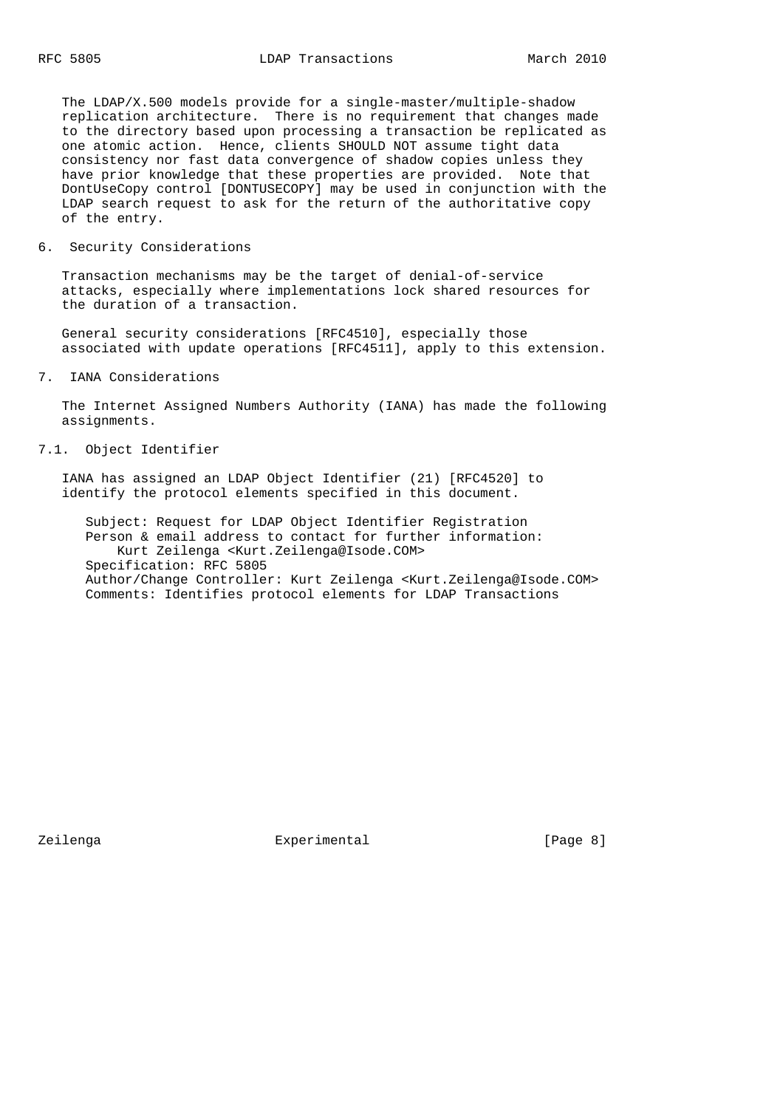The LDAP/X.500 models provide for a single-master/multiple-shadow replication architecture. There is no requirement that changes made to the directory based upon processing a transaction be replicated as one atomic action. Hence, clients SHOULD NOT assume tight data consistency nor fast data convergence of shadow copies unless they have prior knowledge that these properties are provided. Note that DontUseCopy control [DONTUSECOPY] may be used in conjunction with the LDAP search request to ask for the return of the authoritative copy of the entry.

### 6. Security Considerations

 Transaction mechanisms may be the target of denial-of-service attacks, especially where implementations lock shared resources for the duration of a transaction.

 General security considerations [RFC4510], especially those associated with update operations [RFC4511], apply to this extension.

## 7. IANA Considerations

 The Internet Assigned Numbers Authority (IANA) has made the following assignments.

### 7.1. Object Identifier

 IANA has assigned an LDAP Object Identifier (21) [RFC4520] to identify the protocol elements specified in this document.

 Subject: Request for LDAP Object Identifier Registration Person & email address to contact for further information: Kurt Zeilenga <Kurt.Zeilenga@Isode.COM> Specification: RFC 5805 Author/Change Controller: Kurt Zeilenga <Kurt.Zeilenga@Isode.COM> Comments: Identifies protocol elements for LDAP Transactions

Zeilenga Experimental [Page 8]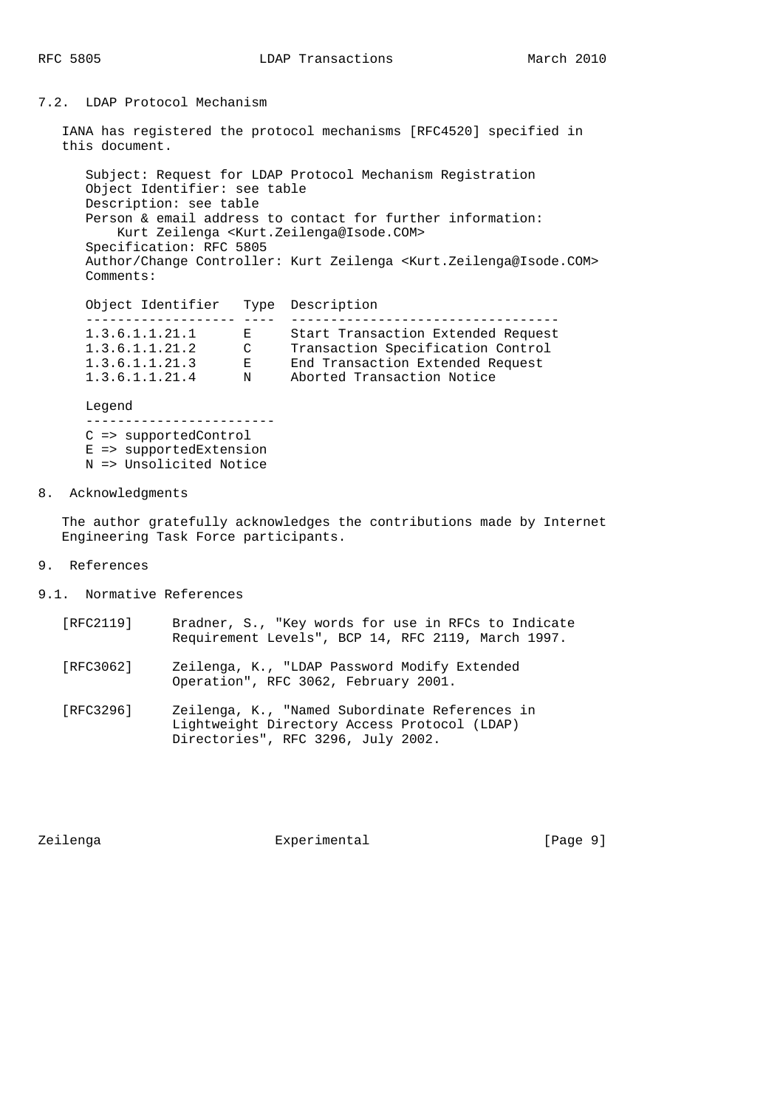# 7.2. LDAP Protocol Mechanism

 IANA has registered the protocol mechanisms [RFC4520] specified in this document.

 Subject: Request for LDAP Protocol Mechanism Registration Object Identifier: see table Description: see table Person & email address to contact for further information: Kurt Zeilenga <Kurt.Zeilenga@Isode.COM> Specification: RFC 5805 Author/Change Controller: Kurt Zeilenga <Kurt.Zeilenga@Isode.COM> Comments:

| Object Identifier    |               | Type Description                   |
|----------------------|---------------|------------------------------------|
|                      |               |                                    |
| 1.3.6.1.1.21.1       | E.            | Start Transaction Extended Request |
| 1.3.6.1.1.21.2       | $\mathcal{C}$ | Transaction Specification Control  |
| 1, 3, 6, 1, 1, 21, 3 | E.            | End Transaction Extended Request   |
| 1.3.6.1.1.21.4       | N             | Aborted Transaction Notice         |
|                      |               |                                    |

Legend

 ------------------------ C => supportedControl E => supportedExtension N => Unsolicited Notice

8. Acknowledgments

 The author gratefully acknowledges the contributions made by Internet Engineering Task Force participants.

- 9. References
- 9.1. Normative References
	- [RFC2119] Bradner, S., "Key words for use in RFCs to Indicate Requirement Levels", BCP 14, RFC 2119, March 1997.
	- [RFC3062] Zeilenga, K., "LDAP Password Modify Extended Operation", RFC 3062, February 2001.
	- [RFC3296] Zeilenga, K., "Named Subordinate References in Lightweight Directory Access Protocol (LDAP) Directories", RFC 3296, July 2002.

Zeilenga Experimental [Page 9]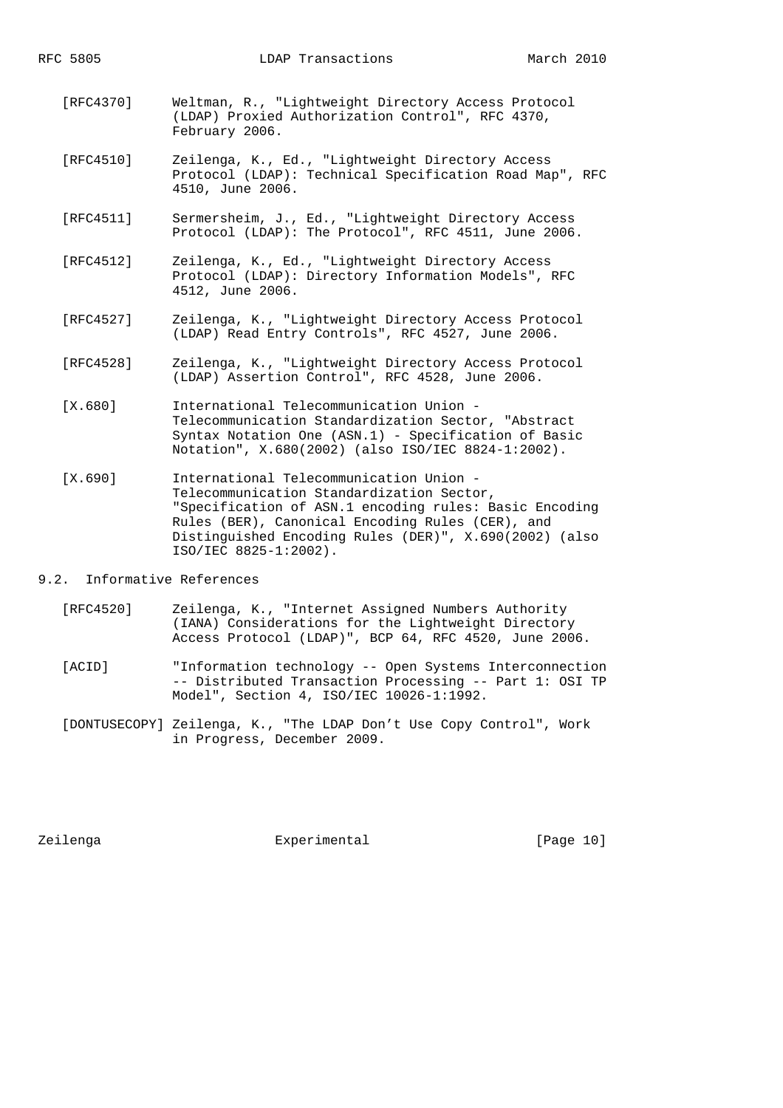- [RFC4370] Weltman, R., "Lightweight Directory Access Protocol (LDAP) Proxied Authorization Control", RFC 4370, February 2006.
- [RFC4510] Zeilenga, K., Ed., "Lightweight Directory Access Protocol (LDAP): Technical Specification Road Map", RFC 4510, June 2006.
- [RFC4511] Sermersheim, J., Ed., "Lightweight Directory Access Protocol (LDAP): The Protocol", RFC 4511, June 2006.
- [RFC4512] Zeilenga, K., Ed., "Lightweight Directory Access Protocol (LDAP): Directory Information Models", RFC 4512, June 2006.
- [RFC4527] Zeilenga, K., "Lightweight Directory Access Protocol (LDAP) Read Entry Controls", RFC 4527, June 2006.
- [RFC4528] Zeilenga, K., "Lightweight Directory Access Protocol (LDAP) Assertion Control", RFC 4528, June 2006.
- [X.680] International Telecommunication Union Telecommunication Standardization Sector, "Abstract Syntax Notation One (ASN.1) - Specification of Basic Notation", X.680(2002) (also ISO/IEC 8824-1:2002).
- [X.690] International Telecommunication Union Telecommunication Standardization Sector, "Specification of ASN.1 encoding rules: Basic Encoding Rules (BER), Canonical Encoding Rules (CER), and Distinguished Encoding Rules (DER)", X.690(2002) (also ISO/IEC 8825-1:2002).
- 9.2. Informative References
	- [RFC4520] Zeilenga, K., "Internet Assigned Numbers Authority (IANA) Considerations for the Lightweight Directory Access Protocol (LDAP)", BCP 64, RFC 4520, June 2006.
	- [ACID] "Information technology -- Open Systems Interconnection -- Distributed Transaction Processing -- Part 1: OSI TP Model", Section 4, ISO/IEC 10026-1:1992.
	- [DONTUSECOPY] Zeilenga, K., "The LDAP Don't Use Copy Control", Work in Progress, December 2009.

Zeilenga Experimental [Page 10]